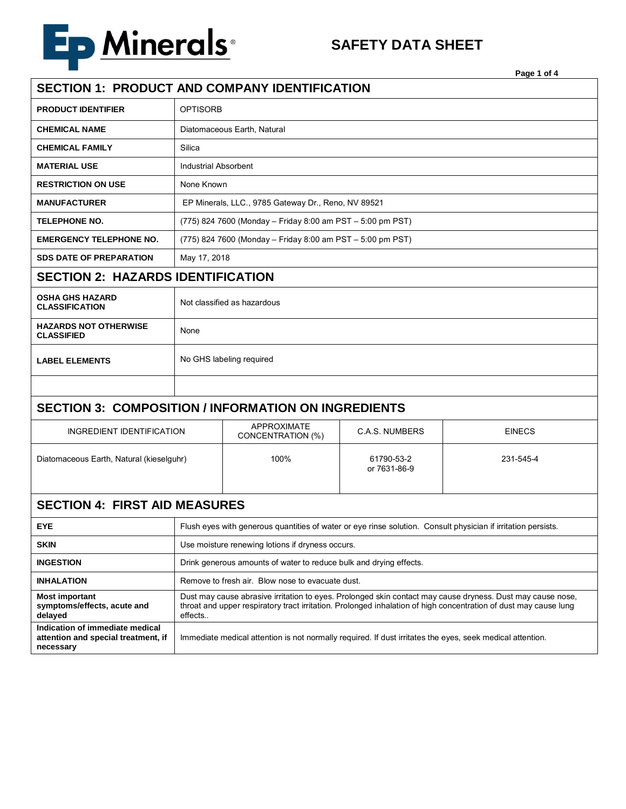

## **SAFETY DATA SHEET**

| <b>SECTION 1: PRODUCT AND COMPANY IDENTIFICATION</b>                                |                                                                                                                                                                                                                                           |                                         |                            |               |  |  |
|-------------------------------------------------------------------------------------|-------------------------------------------------------------------------------------------------------------------------------------------------------------------------------------------------------------------------------------------|-----------------------------------------|----------------------------|---------------|--|--|
| <b>PRODUCT IDENTIFIER</b>                                                           | <b>OPTISORB</b>                                                                                                                                                                                                                           |                                         |                            |               |  |  |
| <b>CHEMICAL NAME</b>                                                                | Diatomaceous Earth, Natural                                                                                                                                                                                                               |                                         |                            |               |  |  |
| <b>CHEMICAL FAMILY</b>                                                              | Silica                                                                                                                                                                                                                                    |                                         |                            |               |  |  |
| <b>MATERIAL USE</b>                                                                 | <b>Industrial Absorbent</b>                                                                                                                                                                                                               |                                         |                            |               |  |  |
| <b>RESTRICTION ON USE</b>                                                           | None Known                                                                                                                                                                                                                                |                                         |                            |               |  |  |
| <b>MANUFACTURER</b>                                                                 | EP Minerals, LLC., 9785 Gateway Dr., Reno, NV 89521                                                                                                                                                                                       |                                         |                            |               |  |  |
| <b>TELEPHONE NO.</b>                                                                | (775) 824 7600 (Monday - Friday 8:00 am PST - 5:00 pm PST)                                                                                                                                                                                |                                         |                            |               |  |  |
| <b>EMERGENCY TELEPHONE NO.</b>                                                      | (775) 824 7600 (Monday - Friday 8:00 am PST - 5:00 pm PST)                                                                                                                                                                                |                                         |                            |               |  |  |
| <b>SDS DATE OF PREPARATION</b>                                                      |                                                                                                                                                                                                                                           | May 17, 2018                            |                            |               |  |  |
| <b>SECTION 2: HAZARDS IDENTIFICATION</b>                                            |                                                                                                                                                                                                                                           |                                         |                            |               |  |  |
| <b>OSHA GHS HAZARD</b><br><b>CLASSIFICATION</b>                                     | Not classified as hazardous                                                                                                                                                                                                               |                                         |                            |               |  |  |
| <b>HAZARDS NOT OTHERWISE</b><br><b>CLASSIFIED</b>                                   | None                                                                                                                                                                                                                                      |                                         |                            |               |  |  |
| <b>LABEL ELEMENTS</b>                                                               | No GHS labeling required                                                                                                                                                                                                                  |                                         |                            |               |  |  |
|                                                                                     |                                                                                                                                                                                                                                           |                                         |                            |               |  |  |
| <b>SECTION 3: COMPOSITION / INFORMATION ON INGREDIENTS</b>                          |                                                                                                                                                                                                                                           |                                         |                            |               |  |  |
| INGREDIENT IDENTIFICATION                                                           |                                                                                                                                                                                                                                           | <b>APPROXIMATE</b><br>CONCENTRATION (%) | <b>C.A.S. NUMBERS</b>      | <b>EINECS</b> |  |  |
| Diatomaceous Earth, Natural (kieselguhr)                                            |                                                                                                                                                                                                                                           | 100%                                    | 61790-53-2<br>or 7631-86-9 | 231-545-4     |  |  |
| <b>SECTION 4: FIRST AID MEASURES</b>                                                |                                                                                                                                                                                                                                           |                                         |                            |               |  |  |
| <b>EYE</b>                                                                          | Flush eyes with generous quantities of water or eye rinse solution. Consult physician if irritation persists.                                                                                                                             |                                         |                            |               |  |  |
| <b>SKIN</b>                                                                         | Use moisture renewing lotions if dryness occurs.                                                                                                                                                                                          |                                         |                            |               |  |  |
| <b>INGESTION</b>                                                                    | Drink generous amounts of water to reduce bulk and drying effects.                                                                                                                                                                        |                                         |                            |               |  |  |
| <b>INHALATION</b>                                                                   | Remove to fresh air. Blow nose to evacuate dust.                                                                                                                                                                                          |                                         |                            |               |  |  |
| <b>Most important</b><br>symptoms/effects, acute and<br>delayed                     | Dust may cause abrasive irritation to eyes. Prolonged skin contact may cause dryness. Dust may cause nose,<br>throat and upper respiratory tract irritation. Prolonged inhalation of high concentration of dust may cause lung<br>effects |                                         |                            |               |  |  |
| Indication of immediate medical<br>attention and special treatment, if<br>necessary | Immediate medical attention is not normally required. If dust irritates the eyes, seek medical attention.                                                                                                                                 |                                         |                            |               |  |  |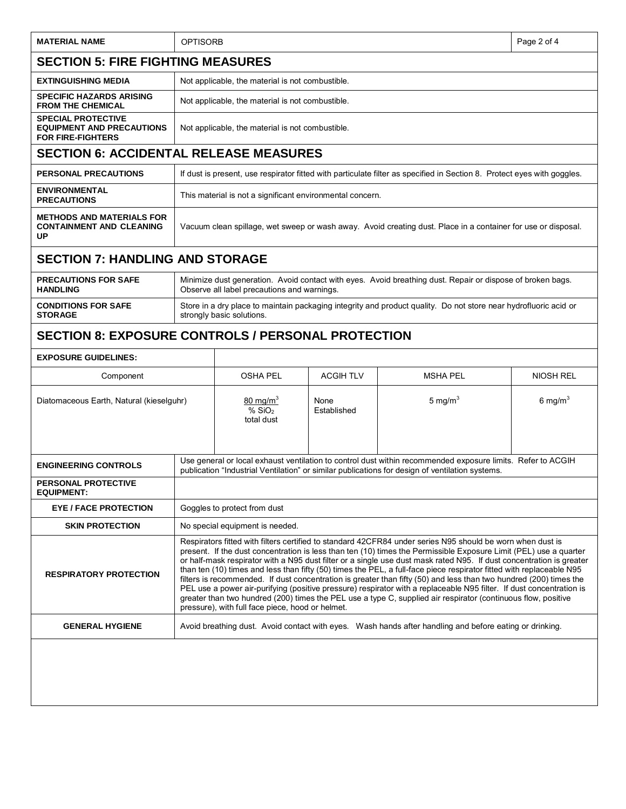| <b>MATERIAL NAME</b>                                                                      | <b>OPTISORB</b>                                                                                                                                                                                                                                                                                                                                                                                                                                                                                                                                                                                                                                                                                                                                                                                                                                                                                    |                                                          |                     |                                                                                                                         | Page 2 of 4      |  |  |
|-------------------------------------------------------------------------------------------|----------------------------------------------------------------------------------------------------------------------------------------------------------------------------------------------------------------------------------------------------------------------------------------------------------------------------------------------------------------------------------------------------------------------------------------------------------------------------------------------------------------------------------------------------------------------------------------------------------------------------------------------------------------------------------------------------------------------------------------------------------------------------------------------------------------------------------------------------------------------------------------------------|----------------------------------------------------------|---------------------|-------------------------------------------------------------------------------------------------------------------------|------------------|--|--|
| <b>SECTION 5: FIRE FIGHTING MEASURES</b>                                                  |                                                                                                                                                                                                                                                                                                                                                                                                                                                                                                                                                                                                                                                                                                                                                                                                                                                                                                    |                                                          |                     |                                                                                                                         |                  |  |  |
| <b>EXTINGUISHING MEDIA</b>                                                                | Not applicable, the material is not combustible.                                                                                                                                                                                                                                                                                                                                                                                                                                                                                                                                                                                                                                                                                                                                                                                                                                                   |                                                          |                     |                                                                                                                         |                  |  |  |
| <b>SPECIFIC HAZARDS ARISING</b><br><b>FROM THE CHEMICAL</b>                               |                                                                                                                                                                                                                                                                                                                                                                                                                                                                                                                                                                                                                                                                                                                                                                                                                                                                                                    | Not applicable, the material is not combustible.         |                     |                                                                                                                         |                  |  |  |
| <b>SPECIAL PROTECTIVE</b><br><b>EQUIPMENT AND PRECAUTIONS</b><br><b>FOR FIRE-FIGHTERS</b> | Not applicable, the material is not combustible.                                                                                                                                                                                                                                                                                                                                                                                                                                                                                                                                                                                                                                                                                                                                                                                                                                                   |                                                          |                     |                                                                                                                         |                  |  |  |
| <b>SECTION 6: ACCIDENTAL RELEASE MEASURES</b>                                             |                                                                                                                                                                                                                                                                                                                                                                                                                                                                                                                                                                                                                                                                                                                                                                                                                                                                                                    |                                                          |                     |                                                                                                                         |                  |  |  |
| <b>PERSONAL PRECAUTIONS</b>                                                               |                                                                                                                                                                                                                                                                                                                                                                                                                                                                                                                                                                                                                                                                                                                                                                                                                                                                                                    |                                                          |                     | If dust is present, use respirator fitted with particulate filter as specified in Section 8. Protect eyes with goggles. |                  |  |  |
| <b>ENVIRONMENTAL</b><br><b>PRECAUTIONS</b>                                                | This material is not a significant environmental concern.                                                                                                                                                                                                                                                                                                                                                                                                                                                                                                                                                                                                                                                                                                                                                                                                                                          |                                                          |                     |                                                                                                                         |                  |  |  |
| <b>METHODS AND MATERIALS FOR</b><br><b>CONTAINMENT AND CLEANING</b><br>UP                 | Vacuum clean spillage, wet sweep or wash away. Avoid creating dust. Place in a container for use or disposal.                                                                                                                                                                                                                                                                                                                                                                                                                                                                                                                                                                                                                                                                                                                                                                                      |                                                          |                     |                                                                                                                         |                  |  |  |
| <b>SECTION 7: HANDLING AND STORAGE</b>                                                    |                                                                                                                                                                                                                                                                                                                                                                                                                                                                                                                                                                                                                                                                                                                                                                                                                                                                                                    |                                                          |                     |                                                                                                                         |                  |  |  |
| <b>PRECAUTIONS FOR SAFE</b><br><b>HANDLING</b>                                            | Minimize dust generation. Avoid contact with eyes. Avoid breathing dust. Repair or dispose of broken bags.<br>Observe all label precautions and warnings.                                                                                                                                                                                                                                                                                                                                                                                                                                                                                                                                                                                                                                                                                                                                          |                                                          |                     |                                                                                                                         |                  |  |  |
| <b>CONDITIONS FOR SAFE</b><br><b>STORAGE</b>                                              | Store in a dry place to maintain packaging integrity and product quality. Do not store near hydrofluoric acid or<br>strongly basic solutions.                                                                                                                                                                                                                                                                                                                                                                                                                                                                                                                                                                                                                                                                                                                                                      |                                                          |                     |                                                                                                                         |                  |  |  |
| <b>SECTION 8: EXPOSURE CONTROLS / PERSONAL PROTECTION</b>                                 |                                                                                                                                                                                                                                                                                                                                                                                                                                                                                                                                                                                                                                                                                                                                                                                                                                                                                                    |                                                          |                     |                                                                                                                         |                  |  |  |
| <b>EXPOSURE GUIDELINES:</b>                                                               |                                                                                                                                                                                                                                                                                                                                                                                                                                                                                                                                                                                                                                                                                                                                                                                                                                                                                                    |                                                          |                     |                                                                                                                         |                  |  |  |
| Component                                                                                 |                                                                                                                                                                                                                                                                                                                                                                                                                                                                                                                                                                                                                                                                                                                                                                                                                                                                                                    | <b>OSHA PEL</b>                                          | <b>ACGIH TLV</b>    | <b>MSHA PEL</b>                                                                                                         | <b>NIOSH REL</b> |  |  |
| Diatomaceous Earth, Natural (kieselguhr)                                                  |                                                                                                                                                                                                                                                                                                                                                                                                                                                                                                                                                                                                                                                                                                                                                                                                                                                                                                    | 80 mg/m <sup>3</sup><br>% SiO <sub>2</sub><br>total dust | None<br>Established | 5 mg/m $3$                                                                                                              | 6 mg/ $m3$       |  |  |
| <b>ENGINEERING CONTROLS</b>                                                               | Use general or local exhaust ventilation to control dust within recommended exposure limits. Refer to ACGIH<br>publication "Industrial Ventilation" or similar publications for design of ventilation systems.                                                                                                                                                                                                                                                                                                                                                                                                                                                                                                                                                                                                                                                                                     |                                                          |                     |                                                                                                                         |                  |  |  |
| <b>PERSONAL PROTECTIVE</b><br><b>EQUIPMENT:</b>                                           |                                                                                                                                                                                                                                                                                                                                                                                                                                                                                                                                                                                                                                                                                                                                                                                                                                                                                                    |                                                          |                     |                                                                                                                         |                  |  |  |
| <b>EYE / FACE PROTECTION</b>                                                              | Goggles to protect from dust                                                                                                                                                                                                                                                                                                                                                                                                                                                                                                                                                                                                                                                                                                                                                                                                                                                                       |                                                          |                     |                                                                                                                         |                  |  |  |
| <b>SKIN PROTECTION</b>                                                                    | No special equipment is needed.                                                                                                                                                                                                                                                                                                                                                                                                                                                                                                                                                                                                                                                                                                                                                                                                                                                                    |                                                          |                     |                                                                                                                         |                  |  |  |
| <b>RESPIRATORY PROTECTION</b>                                                             | Respirators fitted with filters certified to standard 42CFR84 under series N95 should be worn when dust is<br>present. If the dust concentration is less than ten (10) times the Permissible Exposure Limit (PEL) use a quarter<br>or half-mask respirator with a N95 dust filter or a single use dust mask rated N95. If dust concentration is greater<br>than ten (10) times and less than fifty (50) times the PEL, a full-face piece respirator fitted with replaceable N95<br>filters is recommended. If dust concentration is greater than fifty (50) and less than two hundred (200) times the<br>PEL use a power air-purifying (positive pressure) respirator with a replaceable N95 filter. If dust concentration is<br>greater than two hundred (200) times the PEL use a type C, supplied air respirator (continuous flow, positive<br>pressure), with full face piece, hood or helmet. |                                                          |                     |                                                                                                                         |                  |  |  |
| <b>GENERAL HYGIENE</b>                                                                    | Avoid breathing dust. Avoid contact with eyes. Wash hands after handling and before eating or drinking.                                                                                                                                                                                                                                                                                                                                                                                                                                                                                                                                                                                                                                                                                                                                                                                            |                                                          |                     |                                                                                                                         |                  |  |  |
|                                                                                           |                                                                                                                                                                                                                                                                                                                                                                                                                                                                                                                                                                                                                                                                                                                                                                                                                                                                                                    |                                                          |                     |                                                                                                                         |                  |  |  |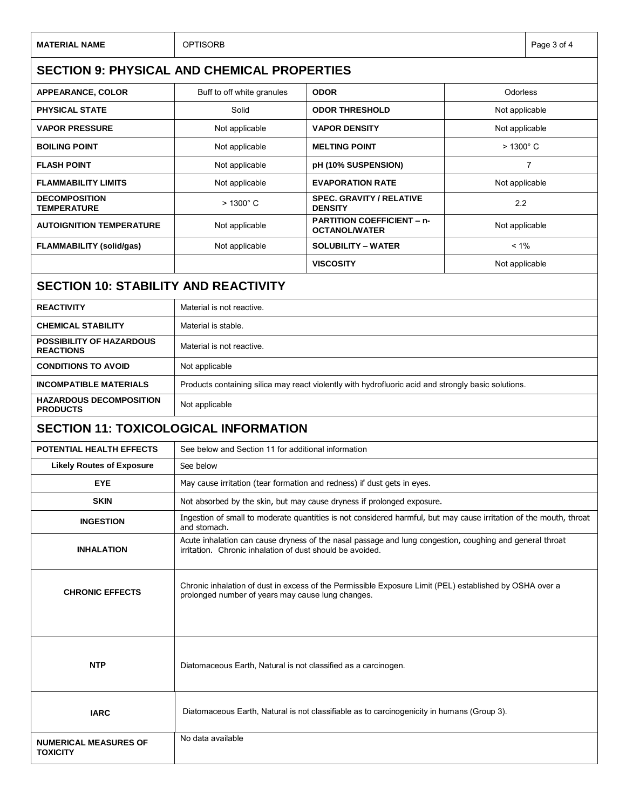| <b>MATERIAL NAME</b>                               | <b>OPTISORB</b>                                                                                                                                                       | Page 3 of 4                                               |                   |  |  |  |
|----------------------------------------------------|-----------------------------------------------------------------------------------------------------------------------------------------------------------------------|-----------------------------------------------------------|-------------------|--|--|--|
| <b>SECTION 9: PHYSICAL AND CHEMICAL PROPERTIES</b> |                                                                                                                                                                       |                                                           |                   |  |  |  |
| <b>APPEARANCE, COLOR</b>                           | Buff to off white granules                                                                                                                                            | <b>ODOR</b><br>Odorless                                   |                   |  |  |  |
| <b>PHYSICAL STATE</b>                              | Solid                                                                                                                                                                 | <b>ODOR THRESHOLD</b>                                     | Not applicable    |  |  |  |
| <b>VAPOR PRESSURE</b>                              | Not applicable                                                                                                                                                        | <b>VAPOR DENSITY</b>                                      | Not applicable    |  |  |  |
| <b>BOILING POINT</b>                               | Not applicable                                                                                                                                                        | <b>MELTING POINT</b>                                      | $>1300^{\circ}$ C |  |  |  |
| <b>FLASH POINT</b>                                 | Not applicable                                                                                                                                                        | pH (10% SUSPENSION)                                       | $\overline{7}$    |  |  |  |
| <b>FLAMMABILITY LIMITS</b>                         | Not applicable                                                                                                                                                        | <b>EVAPORATION RATE</b>                                   | Not applicable    |  |  |  |
| <b>DECOMPOSITION</b><br><b>TEMPERATURE</b>         | $>$ 1300 $^{\circ}$ C                                                                                                                                                 | <b>SPEC. GRAVITY / RELATIVE</b><br><b>DENSITY</b>         | 2.2               |  |  |  |
| <b>AUTOIGNITION TEMPERATURE</b>                    | Not applicable                                                                                                                                                        | <b>PARTITION COEFFICIENT - n-</b><br><b>OCTANOL/WATER</b> | Not applicable    |  |  |  |
| <b>FLAMMABILITY (solid/gas)</b>                    | Not applicable                                                                                                                                                        | <b>SOLUBILITY – WATER</b>                                 | $< 1\%$           |  |  |  |
|                                                    |                                                                                                                                                                       | <b>VISCOSITY</b>                                          | Not applicable    |  |  |  |
| <b>SECTION 10: STABILITY AND REACTIVITY</b>        |                                                                                                                                                                       |                                                           |                   |  |  |  |
| <b>REACTIVITY</b>                                  | Material is not reactive.                                                                                                                                             |                                                           |                   |  |  |  |
| <b>CHEMICAL STABILITY</b>                          | Material is stable.                                                                                                                                                   |                                                           |                   |  |  |  |
| POSSIBILITY OF HAZARDOUS<br><b>REACTIONS</b>       | Material is not reactive.                                                                                                                                             |                                                           |                   |  |  |  |
| <b>CONDITIONS TO AVOID</b>                         | Not applicable                                                                                                                                                        |                                                           |                   |  |  |  |
| <b>INCOMPATIBLE MATERIALS</b>                      | Products containing silica may react violently with hydrofluoric acid and strongly basic solutions.                                                                   |                                                           |                   |  |  |  |
| <b>HAZARDOUS DECOMPOSITION</b><br><b>PRODUCTS</b>  | Not applicable                                                                                                                                                        |                                                           |                   |  |  |  |
| <b>SECTION 11: TOXICOLOGICAL INFORMATION</b>       |                                                                                                                                                                       |                                                           |                   |  |  |  |
| POTENTIAL HEALTH EFFECTS                           | See below and Section 11 for additional information                                                                                                                   |                                                           |                   |  |  |  |
| <b>Likely Routes of Exposure</b>                   | See below                                                                                                                                                             |                                                           |                   |  |  |  |
| <b>EYE</b>                                         | May cause irritation (tear formation and redness) if dust gets in eyes.                                                                                               |                                                           |                   |  |  |  |
| <b>SKIN</b>                                        | Not absorbed by the skin, but may cause dryness if prolonged exposure.                                                                                                |                                                           |                   |  |  |  |
| <b>INGESTION</b>                                   | Ingestion of small to moderate quantities is not considered harmful, but may cause irritation of the mouth, throat<br>and stomach.                                    |                                                           |                   |  |  |  |
| <b>INHALATION</b>                                  | Acute inhalation can cause dryness of the nasal passage and lung congestion, coughing and general throat<br>irritation. Chronic inhalation of dust should be avoided. |                                                           |                   |  |  |  |
| <b>CHRONIC EFFECTS</b>                             | Chronic inhalation of dust in excess of the Permissible Exposure Limit (PEL) established by OSHA over a<br>prolonged number of years may cause lung changes.          |                                                           |                   |  |  |  |
| <b>NTP</b>                                         | Diatomaceous Earth, Natural is not classified as a carcinogen.                                                                                                        |                                                           |                   |  |  |  |
| <b>IARC</b>                                        | Diatomaceous Earth, Natural is not classifiable as to carcinogenicity in humans (Group 3).                                                                            |                                                           |                   |  |  |  |
| <b>NUMERICAL MEASURES OF</b><br><b>TOXICITY</b>    | No data available                                                                                                                                                     |                                                           |                   |  |  |  |